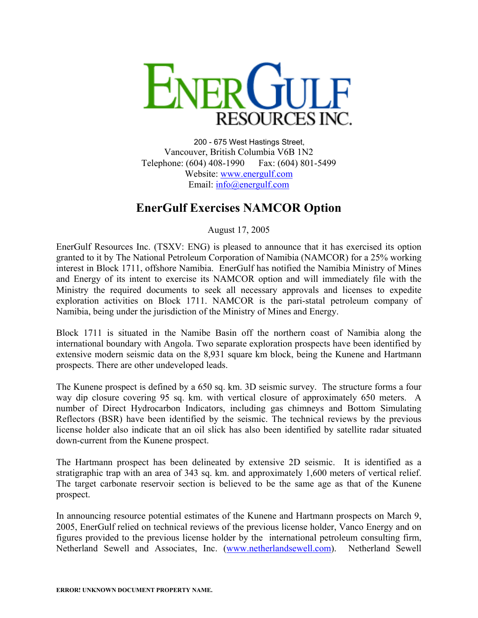

200 - 675 West Hastings Street, Vancouver, British Columbia V6B 1N2 Telephone: (604) 408-1990 Fax: (604) 801-5499 Website: [www.energulf.com](http://www.energulf.com/) Email: [info@energulf.com](mailto:info@energulf.com)

## **EnerGulf Exercises NAMCOR Option**

August 17, 2005

EnerGulf Resources Inc. (TSXV: ENG) is pleased to announce that it has exercised its option granted to it by The National Petroleum Corporation of Namibia (NAMCOR) for a 25% working interest in Block 1711, offshore Namibia. EnerGulf has notified the Namibia Ministry of Mines and Energy of its intent to exercise its NAMCOR option and will immediately file with the Ministry the required documents to seek all necessary approvals and licenses to expedite exploration activities on Block 1711. NAMCOR is the pari-statal petroleum company of Namibia, being under the jurisdiction of the Ministry of Mines and Energy.

Block 1711 is situated in the Namibe Basin off the northern coast of Namibia along the international boundary with Angola. Two separate exploration prospects have been identified by extensive modern seismic data on the 8,931 square km block, being the Kunene and Hartmann prospects. There are other undeveloped leads.

The Kunene prospect is defined by a 650 sq. km. 3D seismic survey. The structure forms a four way dip closure covering 95 sq. km. with vertical closure of approximately 650 meters. A number of Direct Hydrocarbon Indicators, including gas chimneys and Bottom Simulating Reflectors (BSR) have been identified by the seismic. The technical reviews by the previous license holder also indicate that an oil slick has also been identified by satellite radar situated down-current from the Kunene prospect.

The Hartmann prospect has been delineated by extensive 2D seismic. It is identified as a stratigraphic trap with an area of 343 sq. km. and approximately 1,600 meters of vertical relief. The target carbonate reservoir section is believed to be the same age as that of the Kunene prospect.

In announcing resource potential estimates of the Kunene and Hartmann prospects on March 9, 2005, EnerGulf relied on technical reviews of the previous license holder, Vanco Energy and on figures provided to the previous license holder by the international petroleum consulting firm, Netherland Sewell and Associates, Inc. [\(www.netherlandsewell.com](http://www.netherlandsewell.com/)). Netherland Sewell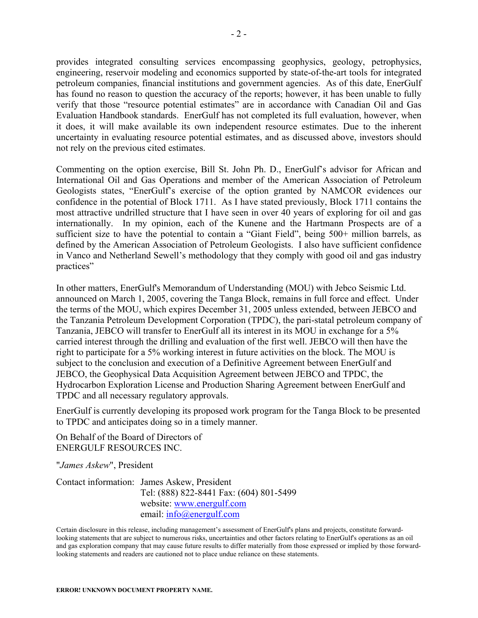provides integrated consulting services encompassing geophysics, geology, petrophysics, engineering, reservoir modeling and economics supported by state-of-the-art tools for integrated petroleum companies, financial institutions and government agencies. As of this date, EnerGulf has found no reason to question the accuracy of the reports; however, it has been unable to fully verify that those "resource potential estimates" are in accordance with Canadian Oil and Gas Evaluation Handbook standards. EnerGulf has not completed its full evaluation, however, when it does, it will make available its own independent resource estimates. Due to the inherent uncertainty in evaluating resource potential estimates, and as discussed above, investors should not rely on the previous cited estimates.

Commenting on the option exercise, Bill St. John Ph. D., EnerGulf's advisor for African and International Oil and Gas Operations and member of the American Association of Petroleum Geologists states, "EnerGulf's exercise of the option granted by NAMCOR evidences our confidence in the potential of Block 1711. As I have stated previously, Block 1711 contains the most attractive undrilled structure that I have seen in over 40 years of exploring for oil and gas internationally. In my opinion, each of the Kunene and the Hartmann Prospects are of a sufficient size to have the potential to contain a "Giant Field", being 500+ million barrels, as defined by the American Association of Petroleum Geologists. I also have sufficient confidence in Vanco and Netherland Sewell's methodology that they comply with good oil and gas industry practices"

In other matters, EnerGulf's Memorandum of Understanding (MOU) with Jebco Seismic Ltd. announced on March 1, 2005, covering the Tanga Block, remains in full force and effect. Under the terms of the MOU, which expires December 31, 2005 unless extended, between JEBCO and the Tanzania Petroleum Development Corporation (TPDC), the pari-statal petroleum company of Tanzania, JEBCO will transfer to EnerGulf all its interest in its MOU in exchange for a 5% carried interest through the drilling and evaluation of the first well. JEBCO will then have the right to participate for a 5% working interest in future activities on the block. The MOU is subject to the conclusion and execution of a Definitive Agreement between EnerGulf and JEBCO, the Geophysical Data Acquisition Agreement between JEBCO and TPDC, the Hydrocarbon Exploration License and Production Sharing Agreement between EnerGulf and TPDC and all necessary regulatory approvals.

EnerGulf is currently developing its proposed work program for the Tanga Block to be presented to TPDC and anticipates doing so in a timely manner.

On Behalf of the Board of Directors of ENERGULF RESOURCES INC.

"*James Askew*", President

Contact information: James Askew, President Tel: (888) 822-8441 Fax: (604) 801-5499 website: [www.energulf.com](http://www.energulf.com/) email: [info@energulf.com](mailto:info@energulf.com)

Certain disclosure in this release, including management's assessment of EnerGulf's plans and projects, constitute forwardlooking statements that are subject to numerous risks, uncertainties and other factors relating to EnerGulf's operations as an oil and gas exploration company that may cause future results to differ materially from those expressed or implied by those forwardlooking statements and readers are cautioned not to place undue reliance on these statements.